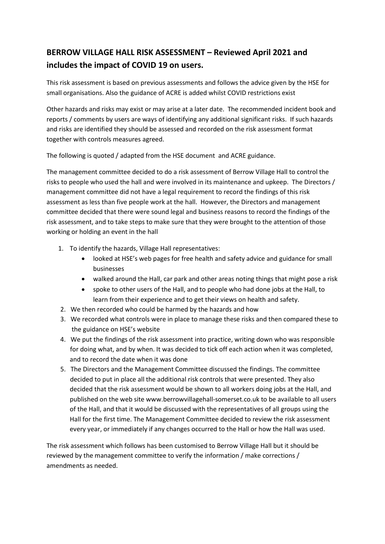## **BERROW VILLAGE HALL RISK ASSESSMENT – Reviewed April 2021 and includes the impact of COVID 19 on users.**

This risk assessment is based on previous assessments and follows the advice given by the HSE for small organisations. Also the guidance of ACRE is added whilst COVID restrictions exist

Other hazards and risks may exist or may arise at a later date. The recommended incident book and reports / comments by users are ways of identifying any additional significant risks. If such hazards and risks are identified they should be assessed and recorded on the risk assessment format together with controls measures agreed.

The following is quoted / adapted from the HSE document and ACRE guidance.

The management committee decided to do a risk assessment of Berrow Village Hall to control the risks to people who used the hall and were involved in its maintenance and upkeep. The Directors / management committee did not have a legal requirement to record the findings of this risk assessment as less than five people work at the hall. However, the Directors and management committee decided that there were sound legal and business reasons to record the findings of the risk assessment, and to take steps to make sure that they were brought to the attention of those working or holding an event in the hall

- 1. To identify the hazards, Village Hall representatives:
	- looked at HSE's web pages for free health and safety advice and guidance for small businesses
	- walked around the Hall, car park and other areas noting things that might pose a risk
	- spoke to other users of the Hall, and to people who had done jobs at the Hall, to learn from their experience and to get their views on health and safety.
- 2. We then recorded who could be harmed by the hazards and how
- 3. We recorded what controls were in place to manage these risks and then compared these to the guidance on HSE's website
- 4. We put the findings of the risk assessment into practice, writing down who was responsible for doing what, and by when. It was decided to tick off each action when it was completed, and to record the date when it was done
- 5. The Directors and the Management Committee discussed the findings. The committee decided to put in place all the additional risk controls that were presented. They also decided that the risk assessment would be shown to all workers doing jobs at the Hall, and published on the web site www.berrowvillagehall‐somerset.co.uk to be available to all users of the Hall, and that it would be discussed with the representatives of all groups using the Hall for the first time. The Management Committee decided to review the risk assessment every year, or immediately if any changes occurred to the Hall or how the Hall was used.

The risk assessment which follows has been customised to Berrow Village Hall but it should be reviewed by the management committee to verify the information / make corrections / amendments as needed.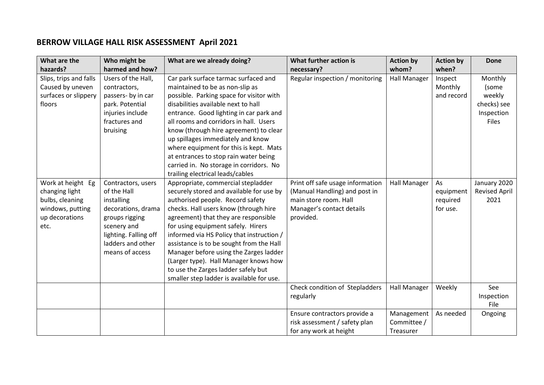## **BERROW VILLAGE HALL RISK ASSESSMENT April 2021**

| What are the                                                                                         | Who might be                                                                                                                                                            | What are we already doing?                                                                                                                                                                                                                                                                                                                                                                                                                                                                                | What further action is                                                                                                               | <b>Action by</b>                       | <b>Action by</b>                        | <b>Done</b>                                                      |
|------------------------------------------------------------------------------------------------------|-------------------------------------------------------------------------------------------------------------------------------------------------------------------------|-----------------------------------------------------------------------------------------------------------------------------------------------------------------------------------------------------------------------------------------------------------------------------------------------------------------------------------------------------------------------------------------------------------------------------------------------------------------------------------------------------------|--------------------------------------------------------------------------------------------------------------------------------------|----------------------------------------|-----------------------------------------|------------------------------------------------------------------|
| hazards?                                                                                             | harmed and how?                                                                                                                                                         |                                                                                                                                                                                                                                                                                                                                                                                                                                                                                                           | necessary?                                                                                                                           | whom?                                  | when?                                   |                                                                  |
| Slips, trips and falls<br>Caused by uneven<br>surfaces or slippery<br>floors                         | Users of the Hall,<br>contractors,<br>passers- by in car<br>park. Potential<br>injuries include<br>fractures and<br>bruising                                            | Car park surface tarmac surfaced and<br>maintained to be as non-slip as<br>possible. Parking space for visitor with<br>disabilities available next to hall<br>entrance. Good lighting in car park and<br>all rooms and corridors in hall. Users<br>know (through hire agreement) to clear<br>up spillages immediately and know<br>where equipment for this is kept. Mats                                                                                                                                  | Regular inspection / monitoring                                                                                                      | <b>Hall Manager</b>                    | Inspect<br>Monthly<br>and record        | Monthly<br>(some<br>weekly<br>checks) see<br>Inspection<br>Files |
|                                                                                                      |                                                                                                                                                                         | at entrances to stop rain water being<br>carried in. No storage in corridors. No<br>trailing electrical leads/cables                                                                                                                                                                                                                                                                                                                                                                                      |                                                                                                                                      |                                        |                                         |                                                                  |
| Work at height Eg<br>changing light<br>bulbs, cleaning<br>windows, putting<br>up decorations<br>etc. | Contractors, users<br>of the Hall<br>installing<br>decorations, drama<br>groups rigging<br>scenery and<br>lighting. Falling off<br>ladders and other<br>means of access | Appropriate, commercial stepladder<br>securely stored and available for use by<br>authorised people. Record safety<br>checks. Hall users know (through hire<br>agreement) that they are responsible<br>for using equipment safely. Hirers<br>informed via HS Policy that instruction /<br>assistance is to be sought from the Hall<br>Manager before using the Zarges ladder<br>(Larger type). Hall Manager knows how<br>to use the Zarges ladder safely but<br>smaller step ladder is available for use. | Print off safe usage information<br>(Manual Handling) and post in<br>main store room. Hall<br>Manager's contact details<br>provided. | <b>Hall Manager</b>                    | As<br>equipment<br>required<br>for use. | January 2020<br><b>Revised April</b><br>2021                     |
|                                                                                                      |                                                                                                                                                                         |                                                                                                                                                                                                                                                                                                                                                                                                                                                                                                           | Check condition of Stepladders<br>regularly                                                                                          | <b>Hall Manager</b>                    | Weekly                                  | See<br>Inspection<br>File                                        |
|                                                                                                      |                                                                                                                                                                         |                                                                                                                                                                                                                                                                                                                                                                                                                                                                                                           | Ensure contractors provide a<br>risk assessment / safety plan<br>for any work at height                                              | Management<br>Committee /<br>Treasurer | As needed                               | Ongoing                                                          |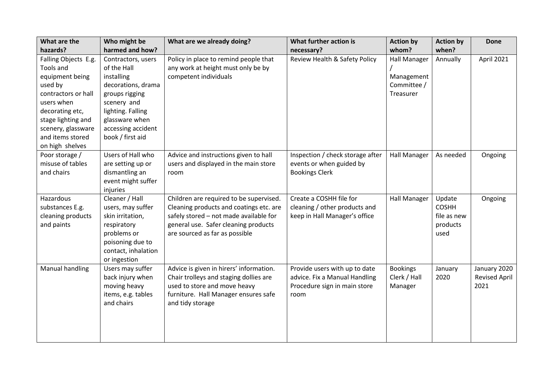| What are the         | Who might be        | What are we already doing?              | What further action is           | <b>Action by</b>    | <b>Action by</b> | <b>Done</b>          |
|----------------------|---------------------|-----------------------------------------|----------------------------------|---------------------|------------------|----------------------|
| hazards?             | harmed and how?     |                                         | necessary?                       | whom?               | when?            |                      |
| Falling Objects E.g. | Contractors, users  | Policy in place to remind people that   | Review Health & Safety Policy    | <b>Hall Manager</b> | Annually         | April 2021           |
| Tools and            | of the Hall         | any work at height must only be by      |                                  |                     |                  |                      |
| equipment being      | installing          | competent individuals                   |                                  | Management          |                  |                      |
| used by              | decorations, drama  |                                         |                                  | Committee /         |                  |                      |
| contractors or hall  | groups rigging      |                                         |                                  | Treasurer           |                  |                      |
| users when           | scenery and         |                                         |                                  |                     |                  |                      |
| decorating etc,      | lighting. Falling   |                                         |                                  |                     |                  |                      |
| stage lighting and   | glassware when      |                                         |                                  |                     |                  |                      |
| scenery, glassware   | accessing accident  |                                         |                                  |                     |                  |                      |
| and items stored     | book / first aid    |                                         |                                  |                     |                  |                      |
| on high shelves      |                     |                                         |                                  |                     |                  |                      |
| Poor storage /       | Users of Hall who   | Advice and instructions given to hall   | Inspection / check storage after | <b>Hall Manager</b> | As needed        | Ongoing              |
| misuse of tables     | are setting up or   | users and displayed in the main store   | events or when guided by         |                     |                  |                      |
| and chairs           | dismantling an      | room                                    | <b>Bookings Clerk</b>            |                     |                  |                      |
|                      | event might suffer  |                                         |                                  |                     |                  |                      |
|                      | injuries            |                                         |                                  |                     |                  |                      |
| Hazardous            | Cleaner / Hall      | Children are required to be supervised. | Create a COSHH file for          | <b>Hall Manager</b> | Update           | Ongoing              |
| substances E.g.      | users, may suffer   | Cleaning products and coatings etc. are | cleaning / other products and    |                     | <b>COSHH</b>     |                      |
| cleaning products    | skin irritation,    | safely stored - not made available for  | keep in Hall Manager's office    |                     | file as new      |                      |
| and paints           | respiratory         | general use. Safer cleaning products    |                                  |                     | products         |                      |
|                      | problems or         | are sourced as far as possible          |                                  |                     | used             |                      |
|                      | poisoning due to    |                                         |                                  |                     |                  |                      |
|                      | contact, inhalation |                                         |                                  |                     |                  |                      |
|                      | or ingestion        |                                         |                                  |                     |                  |                      |
| Manual handling      | Users may suffer    | Advice is given in hirers' information. | Provide users with up to date    | <b>Bookings</b>     | January          | January 2020         |
|                      | back injury when    | Chair trolleys and staging dollies are  | advice. Fix a Manual Handling    | Clerk / Hall        | 2020             | <b>Revised April</b> |
|                      | moving heavy        | used to store and move heavy            | Procedure sign in main store     | Manager             |                  | 2021                 |
|                      | items, e.g. tables  | furniture. Hall Manager ensures safe    | room                             |                     |                  |                      |
|                      | and chairs          | and tidy storage                        |                                  |                     |                  |                      |
|                      |                     |                                         |                                  |                     |                  |                      |
|                      |                     |                                         |                                  |                     |                  |                      |
|                      |                     |                                         |                                  |                     |                  |                      |
|                      |                     |                                         |                                  |                     |                  |                      |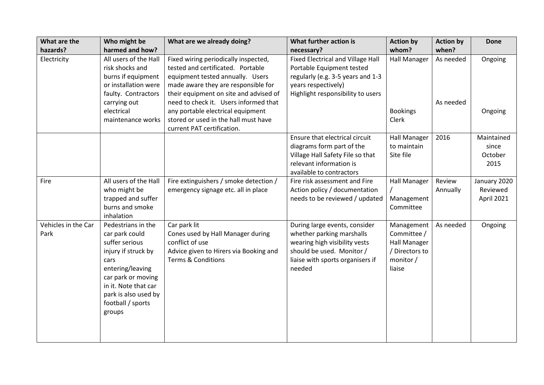| What are the<br>hazards?    | Who might be<br>harmed and how?                                                                                                                                                                                | What are we already doing?                                                                                                                                                                                                                                                   | What further action is<br>necessary?                                                                                                                                   | <b>Action by</b><br>whom?                                                         | <b>Action by</b><br>when? | <b>Done</b>                            |
|-----------------------------|----------------------------------------------------------------------------------------------------------------------------------------------------------------------------------------------------------------|------------------------------------------------------------------------------------------------------------------------------------------------------------------------------------------------------------------------------------------------------------------------------|------------------------------------------------------------------------------------------------------------------------------------------------------------------------|-----------------------------------------------------------------------------------|---------------------------|----------------------------------------|
| Electricity                 | All users of the Hall<br>risk shocks and<br>burns if equipment<br>or installation were<br>faulty. Contractors<br>carrying out<br>electrical                                                                    | Fixed wiring periodically inspected,<br>tested and certificated. Portable<br>equipment tested annually. Users<br>made aware they are responsible for<br>their equipment on site and advised of<br>need to check it. Users informed that<br>any portable electrical equipment | Fixed Electrical and Village Hall<br>Portable Equipment tested<br>regularly (e.g. 3-5 years and 1-3<br>years respectively)<br>Highlight responsibility to users        | <b>Hall Manager</b><br><b>Bookings</b>                                            | As needed<br>As needed    | Ongoing<br>Ongoing                     |
|                             | maintenance works                                                                                                                                                                                              | stored or used in the hall must have<br>current PAT certification.                                                                                                                                                                                                           |                                                                                                                                                                        | Clerk                                                                             |                           |                                        |
|                             |                                                                                                                                                                                                                |                                                                                                                                                                                                                                                                              | Ensure that electrical circuit<br>diagrams form part of the<br>Village Hall Safety File so that<br>relevant information is<br>available to contractors                 | <b>Hall Manager</b><br>to maintain<br>Site file                                   | 2016                      | Maintained<br>since<br>October<br>2015 |
| Fire                        | All users of the Hall<br>who might be<br>trapped and suffer<br>burns and smoke<br>inhalation                                                                                                                   | Fire extinguishers / smoke detection /<br>emergency signage etc. all in place                                                                                                                                                                                                | Fire risk assessment and Fire<br>Action policy / documentation<br>needs to be reviewed / updated                                                                       | <b>Hall Manager</b><br>Management<br>Committee                                    | Review<br>Annually        | January 2020<br>Reviewed<br>April 2021 |
| Vehicles in the Car<br>Park | Pedestrians in the<br>car park could<br>suffer serious<br>injury if struck by<br>cars<br>entering/leaving<br>car park or moving<br>in it. Note that car<br>park is also used by<br>football / sports<br>groups | Car park lit<br>Cones used by Hall Manager during<br>conflict of use<br>Advice given to Hirers via Booking and<br><b>Terms &amp; Conditions</b>                                                                                                                              | During large events, consider<br>whether parking marshalls<br>wearing high visibility vests<br>should be used. Monitor /<br>liaise with sports organisers if<br>needed | Management<br>Committee /<br>Hall Manager<br>/ Directors to<br>monitor/<br>liaise | As needed                 | Ongoing                                |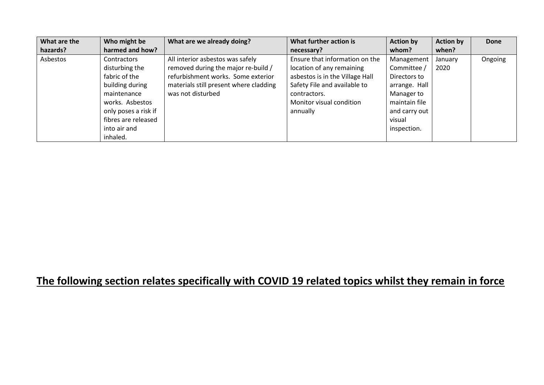| What are the | Who might be         | What are we already doing?             | What further action is          | <b>Action by</b> | <b>Action by</b> | Done    |
|--------------|----------------------|----------------------------------------|---------------------------------|------------------|------------------|---------|
| hazards?     | harmed and how?      |                                        | necessary?                      | whom?            | when?            |         |
| Asbestos     | <b>Contractors</b>   | All interior asbestos was safely       | Ensure that information on the  | Management       | January          | Ongoing |
|              | disturbing the       | removed during the major re-build /    | location of any remaining       | Committee /      | 2020             |         |
|              | fabric of the        | refurbishment works. Some exterior     | asbestos is in the Village Hall | Directors to     |                  |         |
|              | building during      | materials still present where cladding | Safety File and available to    | arrange. Hall    |                  |         |
|              | maintenance          | was not disturbed                      | contractors.                    | Manager to       |                  |         |
|              | works. Asbestos      |                                        | Monitor visual condition        | maintain file    |                  |         |
|              | only poses a risk if |                                        | annually                        | and carry out    |                  |         |
|              | fibres are released  |                                        |                                 | visual           |                  |         |
|              | into air and         |                                        |                                 | inspection.      |                  |         |
|              | inhaled.             |                                        |                                 |                  |                  |         |

## **The following section relates specifically with COVID 19 related topics whilst they remain in force**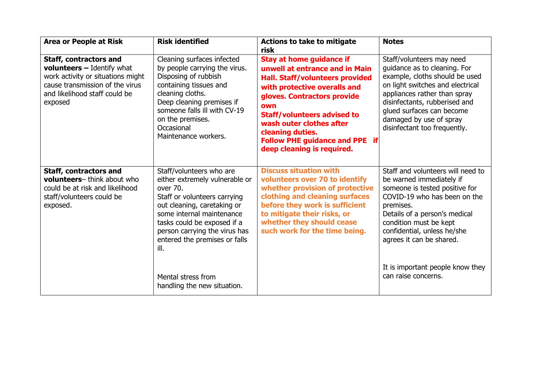| <b>Area or People at Risk</b>                                                                                                                                                   | <b>Risk identified</b>                                                                                                                                                                                                                                                                                                           | <b>Actions to take to mitigate</b><br>risk                                                                                                                                                                                                                                                                                              | <b>Notes</b>                                                                                                                                                                                                                                                                                                                  |
|---------------------------------------------------------------------------------------------------------------------------------------------------------------------------------|----------------------------------------------------------------------------------------------------------------------------------------------------------------------------------------------------------------------------------------------------------------------------------------------------------------------------------|-----------------------------------------------------------------------------------------------------------------------------------------------------------------------------------------------------------------------------------------------------------------------------------------------------------------------------------------|-------------------------------------------------------------------------------------------------------------------------------------------------------------------------------------------------------------------------------------------------------------------------------------------------------------------------------|
| <b>Staff, contractors and</b><br>volunteers - Identify what<br>work activity or situations might<br>cause transmission of the virus<br>and likelihood staff could be<br>exposed | Cleaning surfaces infected<br>by people carrying the virus.<br>Disposing of rubbish<br>containing tissues and<br>cleaning cloths.<br>Deep cleaning premises if<br>someone falls ill with CV-19<br>on the premises.<br>Occasional<br>Maintenance workers.                                                                         | <b>Stay at home guidance if</b><br>unwell at entrance and in Main<br>Hall. Staff/volunteers provided<br>with protective overalls and<br>gloves. Contractors provide<br>own<br><b>Staff/volunteers advised to</b><br>wash outer clothes after<br>cleaning duties.<br><b>Follow PHE guidance and PPE if</b><br>deep cleaning is required. | Staff/volunteers may need<br>guidance as to cleaning. For<br>example, cloths should be used<br>on light switches and electrical<br>appliances rather than spray<br>disinfectants, rubberised and<br>glued surfaces can become<br>damaged by use of spray<br>disinfectant too frequently.                                      |
| Staff, contractors and<br>volunteers-think about who<br>could be at risk and likelihood<br>staff/volunteers could be<br>exposed.                                                | Staff/volunteers who are<br>either extremely vulnerable or<br>over 70.<br>Staff or volunteers carrying<br>out cleaning, caretaking or<br>some internal maintenance<br>tasks could be exposed if a<br>person carrying the virus has<br>entered the premises or falls<br>ill.<br>Mental stress from<br>handling the new situation. | <b>Discuss situation with</b><br>volunteers over 70 to identify<br>whether provision of protective<br>clothing and cleaning surfaces<br>before they work is sufficient<br>to mitigate their risks, or<br>whether they should cease<br>such work for the time being.                                                                     | Staff and volunteers will need to<br>be warned immediately if<br>someone is tested positive for<br>COVID-19 who has been on the<br>premises.<br>Details of a person's medical<br>condition must be kept<br>confidential, unless he/she<br>agrees it can be shared.<br>It is important people know they<br>can raise concerns. |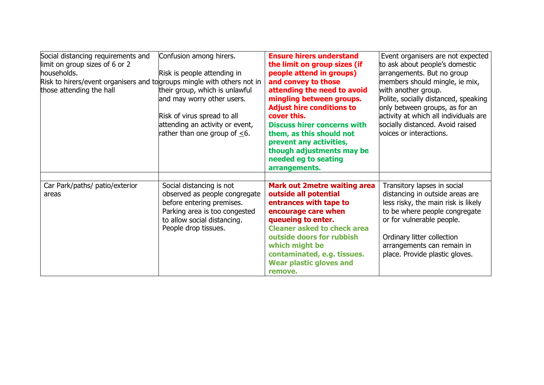| Social distancing requirements and<br>limit on group sizes of 6 or 2<br>households.<br>Risk to hirers/event organisers and to groups mingle with others not in<br>those attending the hall | Confusion among hirers.<br>Risk is people attending in<br>their group, which is unlawful<br>and may worry other users.<br>Risk of virus spread to all<br>attending an activity or event,<br>rather than one group of $\leq 6$ . | <b>Ensure hirers understand</b><br>the limit on group sizes (if<br>people attend in groups)<br>and convey to those<br>attending the need to avoid<br>mingling between groups.<br><b>Adjust hire conditions to</b><br>cover this.<br><b>Discuss hirer concerns with</b><br>them, as this should not<br>prevent any activities,<br>though adjustments may be<br>needed eg to seating<br>arrangements. | Event organisers are not expected<br>to ask about people's domestic<br>arrangements. But no group<br>members should mingle, ie mix,<br>with another group.<br>Polite, socially distanced, speaking<br>only between groups, as for an<br>activity at which all individuals are<br>socially distanced. Avoid raised<br>voices or interactions. |
|--------------------------------------------------------------------------------------------------------------------------------------------------------------------------------------------|---------------------------------------------------------------------------------------------------------------------------------------------------------------------------------------------------------------------------------|-----------------------------------------------------------------------------------------------------------------------------------------------------------------------------------------------------------------------------------------------------------------------------------------------------------------------------------------------------------------------------------------------------|----------------------------------------------------------------------------------------------------------------------------------------------------------------------------------------------------------------------------------------------------------------------------------------------------------------------------------------------|
| Car Park/paths/ patio/exterior<br>areas                                                                                                                                                    | Social distancing is not<br>observed as people congregate<br>before entering premises.<br>Parking area is too congested<br>to allow social distancing.<br>People drop tissues.                                                  | <b>Mark out 2metre waiting area</b><br>outside all potential<br>entrances with tape to<br>encourage care when<br>queueing to enter.<br><b>Cleaner asked to check area</b><br>outside doors for rubbish<br>which might be<br>contaminated, e.g. tissues.<br><b>Wear plastic gloves and</b><br>remove.                                                                                                | Transitory lapses in social<br>distancing in outside areas are<br>less risky, the main risk is likely<br>to be where people congregate<br>or for vulnerable people.<br>Ordinary litter collection<br>arrangements can remain in<br>place. Provide plastic gloves.                                                                            |